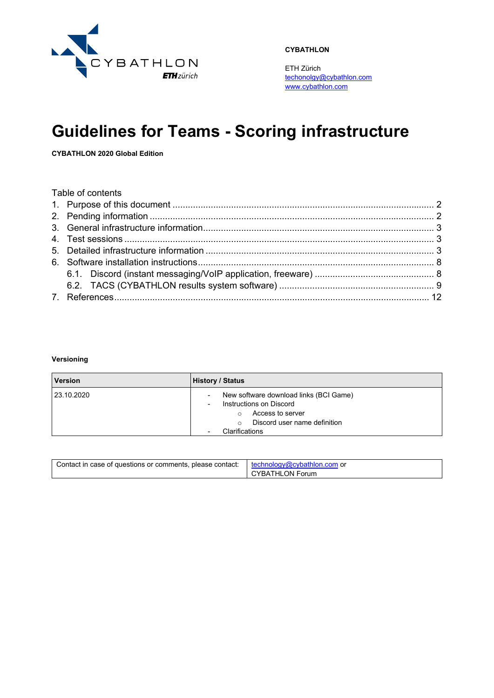

**CYBATHLON**

ETH Zürich [techonolgy@cybathlon.com](mailto:techonolgy@cybathlon.com) [www.cybathlon.com](http://www.cybathlon.com/)

# **Guidelines for Teams - Scoring infrastructure**

**CYBATHLON 2020 Global Edition**

| Table of contents |  |
|-------------------|--|
|                   |  |
|                   |  |
|                   |  |
|                   |  |
|                   |  |
|                   |  |
|                   |  |
|                   |  |
|                   |  |

#### **Versioning**

| <b>Version</b> | <b>History / Status</b>                                                                                                                             |
|----------------|-----------------------------------------------------------------------------------------------------------------------------------------------------|
| 23.10.2020     | New software download links (BCI Game)<br>Instructions on Discord<br>Access to server<br>Discord user name definition<br>$\Omega$<br>Clarifications |

| Contact in case of questions or comments, please contact: | $\mid$ technology@cybathlon.com or<br>CYBATHLON Forum |
|-----------------------------------------------------------|-------------------------------------------------------|
|-----------------------------------------------------------|-------------------------------------------------------|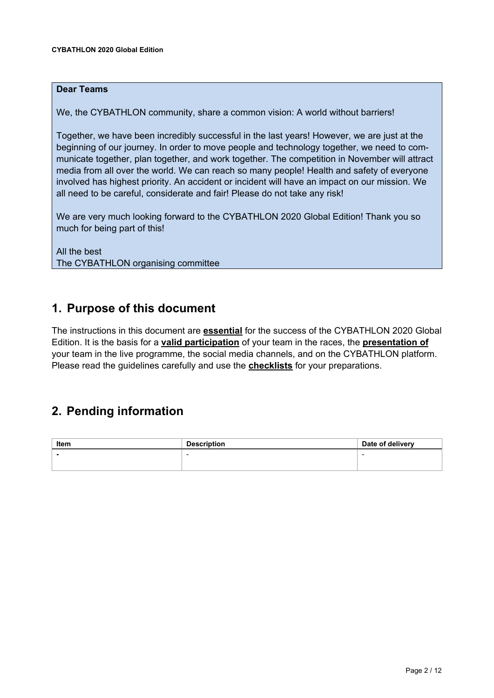### **Dear Teams**

We, the CYBATHLON community, share a common vision: A world without barriers!

Together, we have been incredibly successful in the last years! However, we are just at the beginning of our journey. In order to move people and technology together, we need to communicate together, plan together, and work together. The competition in November will attract media from all over the world. We can reach so many people! Health and safety of everyone involved has highest priority. An accident or incident will have an impact on our mission. We all need to be careful, considerate and fair! Please do not take any risk!

We are very much looking forward to the CYBATHLON 2020 Global Edition! Thank you so much for being part of this!

### All the best The CYBATHLON organising committee

## <span id="page-1-0"></span>**1. Purpose of this document**

The instructions in this document are **essential** for the success of the CYBATHLON 2020 Global Edition. It is the basis for a **valid participation** of your team in the races, the **presentation of**  your team in the live programme, the social media channels, and on the CYBATHLON platform. Please read the guidelines carefully and use the **checklists** for your preparations.

# <span id="page-1-1"></span>**2. Pending information**

| Item | <b>Description</b> | Date of delivery |
|------|--------------------|------------------|
|      | -                  |                  |
|      |                    |                  |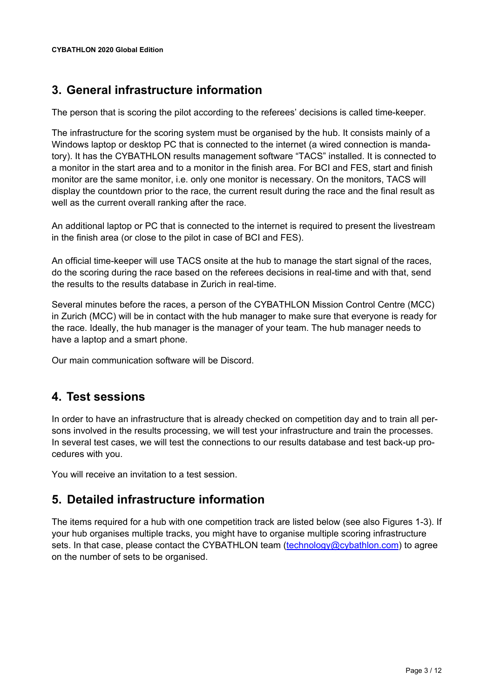# <span id="page-2-0"></span>**3. General infrastructure information**

The person that is scoring the pilot according to the referees' decisions is called time-keeper.

The infrastructure for the scoring system must be organised by the hub. It consists mainly of a Windows laptop or desktop PC that is connected to the internet (a wired connection is mandatory). It has the CYBATHLON results management software "TACS" installed. It is connected to a monitor in the start area and to a monitor in the finish area. For BCI and FES, start and finish monitor are the same monitor, i.e. only one monitor is necessary. On the monitors, TACS will display the countdown prior to the race, the current result during the race and the final result as well as the current overall ranking after the race.

An additional laptop or PC that is connected to the internet is required to present the livestream in the finish area (or close to the pilot in case of BCI and FES).

An official time-keeper will use TACS onsite at the hub to manage the start signal of the races, do the scoring during the race based on the referees decisions in real-time and with that, send the results to the results database in Zurich in real-time.

Several minutes before the races, a person of the CYBATHLON Mission Control Centre (MCC) in Zurich (MCC) will be in contact with the hub manager to make sure that everyone is ready for the race. Ideally, the hub manager is the manager of your team. The hub manager needs to have a laptop and a smart phone.

Our main communication software will be Discord.

# <span id="page-2-1"></span>**4. Test sessions**

In order to have an infrastructure that is already checked on competition day and to train all persons involved in the results processing, we will test your infrastructure and train the processes. In several test cases, we will test the connections to our results database and test back-up procedures with you.

<span id="page-2-2"></span>You will receive an invitation to a test session.

# **5. Detailed infrastructure information**

The items required for a hub with one competition track are listed below (see also Figures 1-3). If your hub organises multiple tracks, you might have to organise multiple scoring infrastructure sets. In that case, please contact the CYBATHLON team [\(technology@cybathlon.com\)](mailto:technology@cybathlon.com) to agree on the number of sets to be organised.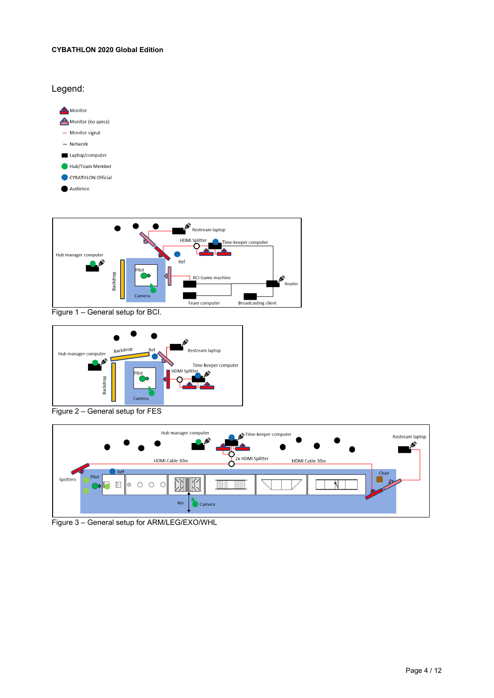#### **CYBATHLON 2020 Global Edition**



Figure 1 – General setup for BCI.



Figure 2 – General setup for FES



Figure 3 – General setup for ARM/LEG/EXO/WHL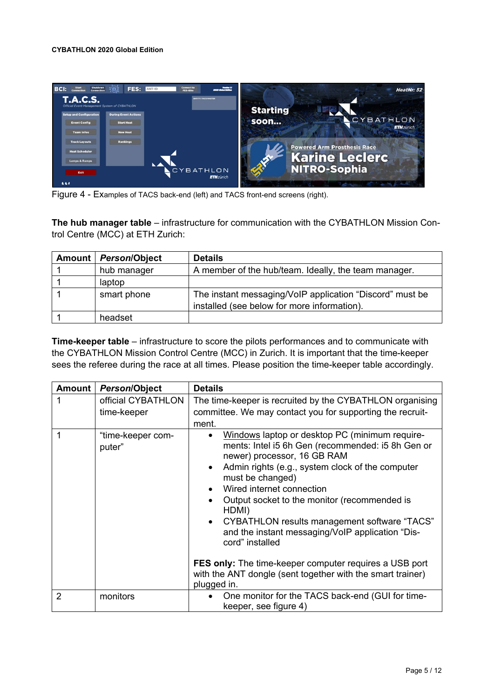#### **CYBATHLON 2020 Global Edition**



Figure 4 - Examples of TACS back-end (left) and TACS front-end screens (right).

**The hub manager table** – infrastructure for communication with the CYBATHLON Mission Control Centre (MCC) at ETH Zurich:

| Amount   Person/Object | <b>Details</b>                                                                                          |
|------------------------|---------------------------------------------------------------------------------------------------------|
| hub manager            | A member of the hub/team. Ideally, the team manager.                                                    |
| laptop                 |                                                                                                         |
| smart phone            | The instant messaging/VoIP application "Discord" must be<br>installed (see below for more information). |
| headset                |                                                                                                         |

**Time-keeper table** – infrastructure to score the pilots performances and to communicate with the CYBATHLON Mission Control Centre (MCC) in Zurich. It is important that the time-keeper sees the referee during the race at all times. Please position the time-keeper table accordingly.

| <b>Amount</b> | Person/Object                     | <b>Details</b>                                                                                                                                                                                                                                                                                                                                                                                                                                                                                                                                                                                                                   |
|---------------|-----------------------------------|----------------------------------------------------------------------------------------------------------------------------------------------------------------------------------------------------------------------------------------------------------------------------------------------------------------------------------------------------------------------------------------------------------------------------------------------------------------------------------------------------------------------------------------------------------------------------------------------------------------------------------|
|               | official CYBATHLON<br>time-keeper | The time-keeper is recruited by the CYBATHLON organising<br>committee. We may contact you for supporting the recruit-<br>ment.                                                                                                                                                                                                                                                                                                                                                                                                                                                                                                   |
|               | "time-keeper com-<br>puter"       | Windows laptop or desktop PC (minimum require-<br>$\bullet$<br>ments: Intel i5 6h Gen (recommended: i5 8h Gen or<br>newer) processor, 16 GB RAM<br>Admin rights (e.g., system clock of the computer<br>$\bullet$<br>must be changed)<br>Wired internet connection<br>Output socket to the monitor (recommended is<br>$\bullet$<br>HDMI)<br><b>CYBATHLON results management software "TACS"</b><br>$\bullet$<br>and the instant messaging/VoIP application "Dis-<br>cord" installed<br><b>FES only:</b> The time-keeper computer requires a USB port<br>with the ANT dongle (sent together with the smart trainer)<br>plugged in. |
| 2             | monitors                          | One monitor for the TACS back-end (GUI for time-<br>keeper, see figure 4)                                                                                                                                                                                                                                                                                                                                                                                                                                                                                                                                                        |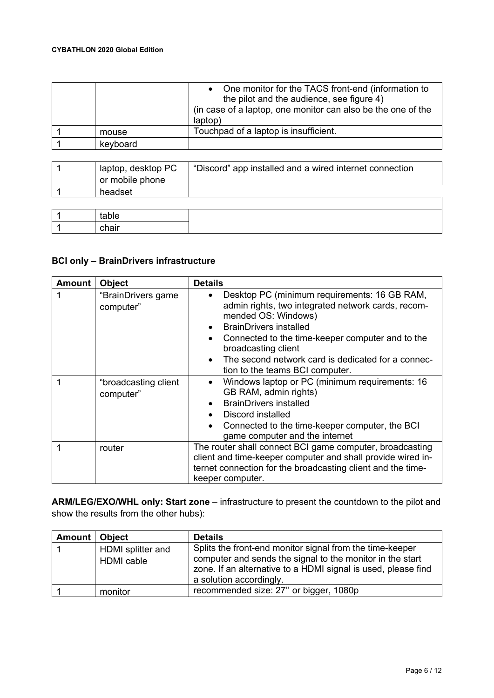#### **CYBATHLON 2020 Global Edition**

|          | One monitor for the TACS front-end (information to<br>the pilot and the audience, see figure 4)<br>(in case of a laptop, one monitor can also be the one of the<br>laptop) |
|----------|----------------------------------------------------------------------------------------------------------------------------------------------------------------------------|
| mouse    | Touchpad of a laptop is insufficient.                                                                                                                                      |
| keyboard |                                                                                                                                                                            |

| laptop, desktop PC | "Discord" app installed and a wired internet connection |
|--------------------|---------------------------------------------------------|
| or mobile phone    |                                                         |
| headset            |                                                         |
|                    |                                                         |

| $ -$ |  |
|------|--|

### **BCI only – BrainDrivers infrastructure**

| <b>Amount</b> | <b>Object</b>                     | <b>Details</b>                                                                                                                                                                                                                                                                                                                                                                     |
|---------------|-----------------------------------|------------------------------------------------------------------------------------------------------------------------------------------------------------------------------------------------------------------------------------------------------------------------------------------------------------------------------------------------------------------------------------|
|               | "BrainDrivers game<br>computer"   | Desktop PC (minimum requirements: 16 GB RAM,<br>$\bullet$<br>admin rights, two integrated network cards, recom-<br>mended OS: Windows)<br><b>BrainDrivers installed</b><br>$\bullet$<br>Connected to the time-keeper computer and to the<br>$\bullet$<br>broadcasting client<br>The second network card is dedicated for a connec-<br>$\bullet$<br>tion to the teams BCI computer. |
|               | "broadcasting client<br>computer" | Windows laptop or PC (minimum requirements: 16<br>$\bullet$<br>GB RAM, admin rights)<br><b>BrainDrivers installed</b><br>Discord installed<br>Connected to the time-keeper computer, the BCI<br>$\bullet$<br>game computer and the internet                                                                                                                                        |
|               | router                            | The router shall connect BCI game computer, broadcasting<br>client and time-keeper computer and shall provide wired in-<br>ternet connection for the broadcasting client and the time-<br>keeper computer.                                                                                                                                                                         |

**ARM/LEG/EXO/WHL only: Start zone** – infrastructure to present the countdown to the pilot and show the results from the other hubs):

| Amount | <b>Object</b>                          | <b>Details</b>                                                                                                                                                                                                    |
|--------|----------------------------------------|-------------------------------------------------------------------------------------------------------------------------------------------------------------------------------------------------------------------|
|        | HDMI splitter and<br><b>HDMI</b> cable | Splits the front-end monitor signal from the time-keeper<br>computer and sends the signal to the monitor in the start<br>zone. If an alternative to a HDMI signal is used, please find<br>a solution accordingly. |
|        | monitor                                | recommended size: 27" or bigger, 1080p                                                                                                                                                                            |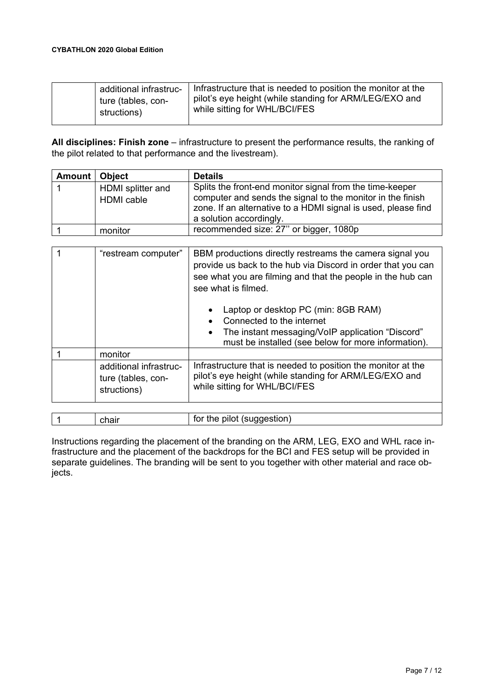| additional infrastruc- | Infrastructure that is needed to position the monitor at the |
|------------------------|--------------------------------------------------------------|
| ture (tables, con-     | pilot's eye height (while standing for ARM/LEG/EXO and       |
| structions)            | while sitting for WHL/BCI/FES                                |

**All disciplines: Finish zone** – infrastructure to present the performance results, the ranking of the pilot related to that performance and the livestream).

| Amount   Object |                                        | <b>Details</b>                                                                                                                                                                                                     |
|-----------------|----------------------------------------|--------------------------------------------------------------------------------------------------------------------------------------------------------------------------------------------------------------------|
|                 | HDMI splitter and<br><b>HDMI</b> cable | Splits the front-end monitor signal from the time-keeper<br>computer and sends the signal to the monitor in the finish<br>zone. If an alternative to a HDMI signal is used, please find<br>a solution accordingly. |
|                 | monitor                                | recommended size: 27" or bigger, 1080p                                                                                                                                                                             |

| "restream computer"                                         | BBM productions directly restreams the camera signal you<br>provide us back to the hub via Discord in order that you can<br>see what you are filming and that the people in the hub can<br>see what is filmed.<br>Laptop or desktop PC (min: 8GB RAM) |
|-------------------------------------------------------------|-------------------------------------------------------------------------------------------------------------------------------------------------------------------------------------------------------------------------------------------------------|
|                                                             | Connected to the internet                                                                                                                                                                                                                             |
|                                                             | The instant messaging/VoIP application "Discord"<br>$\bullet$<br>must be installed (see below for more information).                                                                                                                                  |
| monitor                                                     |                                                                                                                                                                                                                                                       |
| additional infrastruc-<br>ture (tables, con-<br>structions) | Infrastructure that is needed to position the monitor at the<br>pilot's eye height (while standing for ARM/LEG/EXO and<br>while sitting for WHL/BCI/FES                                                                                               |
|                                                             |                                                                                                                                                                                                                                                       |
| chair                                                       | for the pilot (suggestion)                                                                                                                                                                                                                            |

| Instructions regarding the placement of the branding on the ARM, LEG, EXO and WHL race in-      |
|-------------------------------------------------------------------------------------------------|
| frastructure and the placement of the backdrops for the BCI and FES setup will be provided in   |
| separate guidelines. The branding will be sent to you together with other material and race ob- |
| jects.                                                                                          |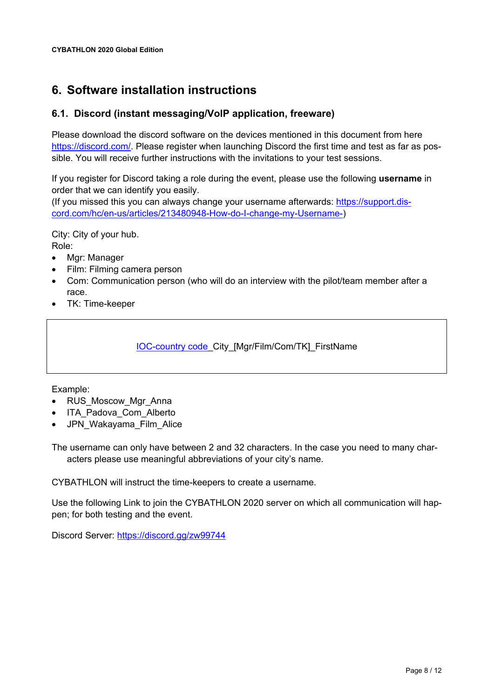# <span id="page-7-0"></span>**6. Software installation instructions**

### <span id="page-7-1"></span>**6.1. Discord (instant messaging/VoIP application, freeware)**

Please download the discord software on the devices mentioned in this document from here [https://discord.com/.](https://discord.com/) Please register when launching Discord the first time and test as far as possible. You will receive further instructions with the invitations to your test sessions.

If you register for Discord taking a role during the event, please use the following **username** in order that we can identify you easily.

(If you missed this you can always change your username afterwards: [https://support.dis](https://support.discord.com/hc/en-us/articles/213480948-How-do-I-change-my-Username-)[cord.com/hc/en-us/articles/213480948-How-do-I-change-my-Username-\)](https://support.discord.com/hc/en-us/articles/213480948-How-do-I-change-my-Username-)

City: City of your hub. Role:

- Mgr: Manager
- Film: Filming camera person
- Com: Communication person (who will do an interview with the pilot/team member after a race.
- TK: Time-keeper

[IOC-country code\\_](https://en.wikipedia.org/wiki/List_of_IOC_country_codes)City\_[Mgr/Film/Com/TK]\_FirstName

Example:

- RUS\_Moscow\_Mgr\_Anna
- ITA Padova Com Alberto
- JPN Wakayama Film Alice

The username can only have between 2 and 32 characters. In the case you need to many characters please use meaningful abbreviations of your city's name.

CYBATHLON will instruct the time-keepers to create a username.

Use the following Link to join the CYBATHLON 2020 server on which all communication will happen; for both testing and the event.

Discord Server:<https://discord.gg/zw99744>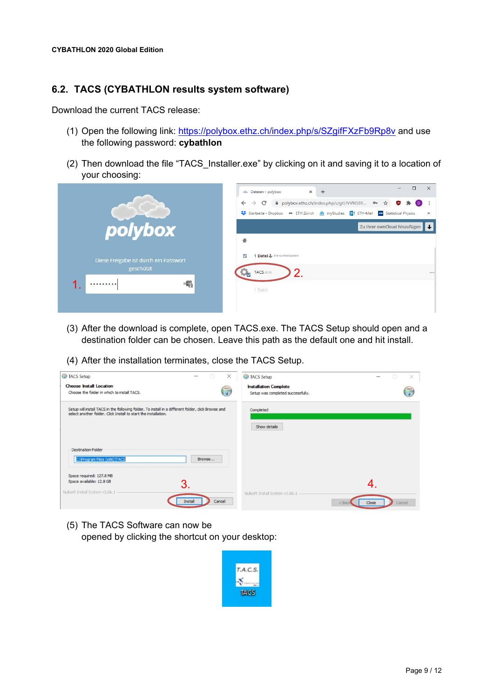### <span id="page-8-0"></span>**6.2. TACS (CYBATHLON results system software)**

Download the current TACS release:

- (1) Open the following link:<https://polybox.ethz.ch/index.php/s/SZgifFXzFb9Rp8v> and use the following password: **cybathlon**
- (2) Then download the file "TACS\_Installer.exe" by clicking on it and saving it to a location of your choosing:

|                                                        | $\times$<br>□<br>$\times$<br>$+$<br>dis. Dateien - polybox<br>A polybox.ethz.ch/index.php/s/gtLfVVNS81 • ☆ ☆<br>$\leftarrow$<br>$\rm{C}$<br>$\bullet$<br>۰<br>$\rightarrow$<br>Startseite - Dropbox<br>ETH Zürich <a> <a> myStudies <a> O2 ETH - Mail <a> MyStatistical Physics<br/><math display="inline">\mathcal{V}</math></a></a></a></a> |
|--------------------------------------------------------|-----------------------------------------------------------------------------------------------------------------------------------------------------------------------------------------------------------------------------------------------------------------------------------------------------------------------------------------------|
| polybox                                                | $\left  \cdot \right $<br>Zu Ihrer ownCloud hinzufügen<br>一                                                                                                                                                                                                                                                                                   |
| Diese Freigabe ist durch ein Passwort<br>geschützt<br> | 1 Datei Herunterladen<br>$\checkmark$<br>$\mathbf{2}$<br>TACS.exe<br>0.0.0<br>1 Datei                                                                                                                                                                                                                                                         |

- (3) After the download is complete, open TACS.exe. The TACS Setup should open and a destination folder can be chosen. Leave this path as the default one and hit install.
- (4) After the installation terminates, close the TACS Setup.

| TACS Setup<br>X<br>$\Box$<br>$\overline{\phantom{a}}$                                                                                                                 | TACS Setup<br>×                                                        |
|-----------------------------------------------------------------------------------------------------------------------------------------------------------------------|------------------------------------------------------------------------|
| <b>Choose Install Location</b><br>Choose the folder in which to install TACS.                                                                                         | <b>Installation Complete</b><br>U<br>Setup was completed successfully. |
| Setup will install TACS in the following folder. To install in a different folder, dick Browse and<br>select another folder. Click Install to start the installation. | Completed<br>Show details                                              |
| <b>Destination Folder</b><br>C: Vrogram Files (x86) \TACS<br>Browse                                                                                                   |                                                                        |
| Space required: 127.8 MB<br>Space available: 12.8 GB<br>3.<br>Nullsoft Install System v3.06.1<br>Cancel<br>Install                                                    | Nullsoft Install System v3.06.1 -<br>Close<br>Cancel<br>$<$ Bac        |

(5) The TACS Software can now be opened by clicking the shortcut on your desktop:

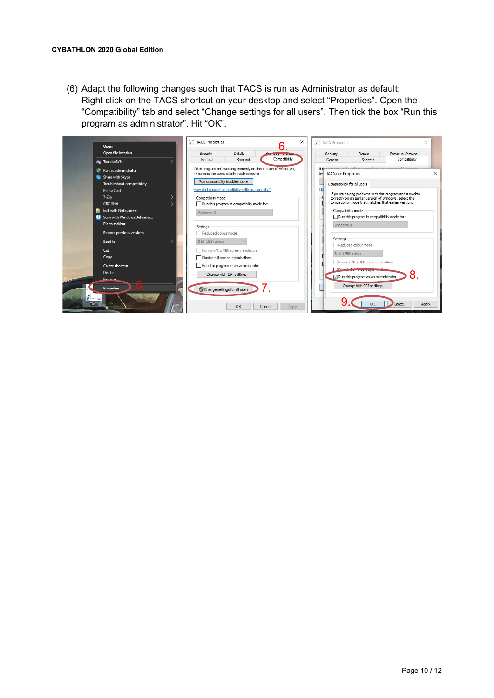(6) Adapt the following changes such that TACS is run as Administrator as default: Right click on the TACS shortcut on your desktop and select "Properties". Open the "Compatibility" tab and select "Change settings for all users". Then tick the box "Run this program as administrator". Hit "OK".

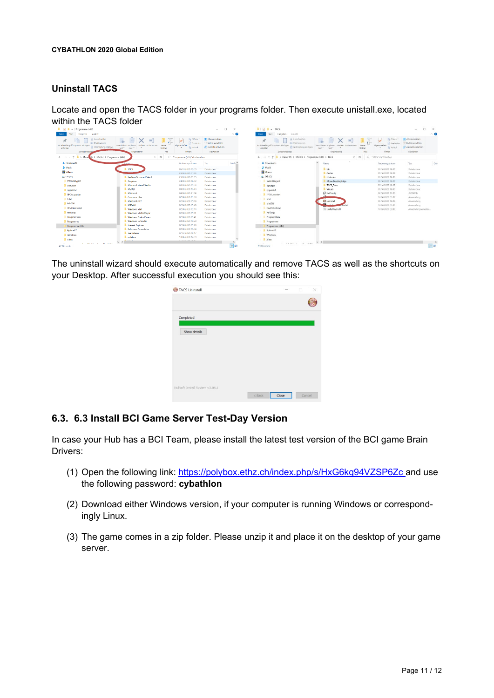### **Uninstall TACS**

Locate and open the TACS folder in your programs folder. Then execute unistall.exe, located within the TACS folder

| Đ.<br>La Offnon -<br>M<br>$\bar{m}_n$<br><sup>2</sup> Boarbeiten<br>Verschieben Kopieren Löschen Umbenennen Neuer<br>Eigenschaften<br><b>B</b> Writan<br>night v<br><b>Crobner</b><br>$\mathbf{r}$<br>Offnen<br>Organisieren<br>Neu<br>$\Omega$<br>"Programme (x86)" durchsuchen<br>$~\vee~$ 0<br>Änderungsdaturn<br><b>I</b> TACS<br>05.10.2020 18:09<br>29.09.2020 11:53<br>KeePass Password Safe 2<br>25.09.2020.09:35<br>24.09.2020 08:32<br><b>Dropbox</b> | El Alles auswählen<br>Nichts auswählen<br>Auswahl umkehren<br>Auswählen<br>Typ<br>Dateiordnes<br>Dateiordner<br>Dateiordner<br>Dateiordnes | $\bullet$<br>Größe <sup>A</sup> | Dates <sup>1</sup><br>Start<br>Treigeben<br>Ansicht<br>& Ausschneiden<br>$\mathcal{R}$<br>two Pfad kopieren<br>An Schnellzugriff Kopieren Einfügen<br>Verknüpfung einfügen<br>anheiten<br>Zwischenablage<br>> Dieser PC > OS (C) > Programme (x86) > TACS<br>4 - -<br><b>J</b> Downloads<br>$M$ asik<br><b>W</b> Videos<br>$2 - OS (C)$ | Verschieben Kopieren Löschen Umbenennen<br>Neuer<br>$n = \sqrt{2}$<br>Ordner<br>nach*<br>Organisieren<br>Neu<br>$\vee$ 0<br>$\hat{\phantom{a}}$<br>Name.<br><b>b</b> bin<br>Codes<br><b>Histories</b> | $\overline{\mathcal{A}}$ .<br>L. Officen -<br>$\checkmark$<br>65.4<br>Saarbeiten<br>Eigenschaften<br><b>Ba Verlauf</b><br>Ottoen<br>O TACS" durchsuchen<br>Anderungsdatum<br>05.10.2020 18:09<br>05.10.2020.18:09 | $\land$ 0<br>Hi Alles auswählen<br>Nichts auswählen<br>ci <sup>1</sup> Autwahl umkehren<br>Auswählen<br>Typ<br>Detaiordner<br>Dateicyclner |
|-----------------------------------------------------------------------------------------------------------------------------------------------------------------------------------------------------------------------------------------------------------------------------------------------------------------------------------------------------------------------------------------------------------------------------------------------------------------|--------------------------------------------------------------------------------------------------------------------------------------------|---------------------------------|-----------------------------------------------------------------------------------------------------------------------------------------------------------------------------------------------------------------------------------------------------------------------------------------------------------------------------------------|-------------------------------------------------------------------------------------------------------------------------------------------------------------------------------------------------------|-------------------------------------------------------------------------------------------------------------------------------------------------------------------------------------------------------------------|--------------------------------------------------------------------------------------------------------------------------------------------|
|                                                                                                                                                                                                                                                                                                                                                                                                                                                                 |                                                                                                                                            |                                 |                                                                                                                                                                                                                                                                                                                                         |                                                                                                                                                                                                       |                                                                                                                                                                                                                   |                                                                                                                                            |
|                                                                                                                                                                                                                                                                                                                                                                                                                                                                 |                                                                                                                                            |                                 |                                                                                                                                                                                                                                                                                                                                         |                                                                                                                                                                                                       |                                                                                                                                                                                                                   |                                                                                                                                            |
|                                                                                                                                                                                                                                                                                                                                                                                                                                                                 |                                                                                                                                            |                                 |                                                                                                                                                                                                                                                                                                                                         |                                                                                                                                                                                                       |                                                                                                                                                                                                                   |                                                                                                                                            |
|                                                                                                                                                                                                                                                                                                                                                                                                                                                                 |                                                                                                                                            |                                 |                                                                                                                                                                                                                                                                                                                                         |                                                                                                                                                                                                       |                                                                                                                                                                                                                   |                                                                                                                                            |
|                                                                                                                                                                                                                                                                                                                                                                                                                                                                 |                                                                                                                                            |                                 |                                                                                                                                                                                                                                                                                                                                         |                                                                                                                                                                                                       |                                                                                                                                                                                                                   |                                                                                                                                            |
|                                                                                                                                                                                                                                                                                                                                                                                                                                                                 |                                                                                                                                            |                                 |                                                                                                                                                                                                                                                                                                                                         |                                                                                                                                                                                                       |                                                                                                                                                                                                                   |                                                                                                                                            |
|                                                                                                                                                                                                                                                                                                                                                                                                                                                                 |                                                                                                                                            |                                 |                                                                                                                                                                                                                                                                                                                                         |                                                                                                                                                                                                       | 05.10.2020 18:09                                                                                                                                                                                                  | Dateiordner                                                                                                                                |
|                                                                                                                                                                                                                                                                                                                                                                                                                                                                 |                                                                                                                                            |                                 | SWinREAgent                                                                                                                                                                                                                                                                                                                             | MonoBleedingEdge                                                                                                                                                                                      | 05.10.2020 18:09                                                                                                                                                                                                  | Deteiordner                                                                                                                                |
| Microsoft Visual Studio<br>09.09.2020 10:54                                                                                                                                                                                                                                                                                                                                                                                                                     | Dateiordner                                                                                                                                |                                 | Benutzer                                                                                                                                                                                                                                                                                                                                | TACS Data                                                                                                                                                                                             | 05.10.2020 18:09                                                                                                                                                                                                  | Dateiordner                                                                                                                                |
| <b>INVSOL</b><br>09.09.2020 10:43                                                                                                                                                                                                                                                                                                                                                                                                                               | Dateiordner                                                                                                                                |                                 |                                                                                                                                                                                                                                                                                                                                         | Visuals                                                                                                                                                                                               | 05.10.2020 18:09                                                                                                                                                                                                  | Dateiordner                                                                                                                                |
| Microsoft<br>08.09.2020 21:39                                                                                                                                                                                                                                                                                                                                                                                                                                   | Dateiordnes                                                                                                                                |                                 |                                                                                                                                                                                                                                                                                                                                         | <b>IT</b> boConfig                                                                                                                                                                                    | 02.10.2020 13:20                                                                                                                                                                                                  | JSON File                                                                                                                                  |
| Common Files<br>02.08.2020 15:48                                                                                                                                                                                                                                                                                                                                                                                                                                | Dateiordner                                                                                                                                |                                 |                                                                                                                                                                                                                                                                                                                                         |                                                                                                                                                                                                       | 18.08.2020 05:02                                                                                                                                                                                                  | Anwendung                                                                                                                                  |
| Microsoft NFT<br>02.08.2020 15:48                                                                                                                                                                                                                                                                                                                                                                                                                               | Dateiordner                                                                                                                                |                                 |                                                                                                                                                                                                                                                                                                                                         | <b>City</b> uninstall                                                                                                                                                                                 | 05.10.2020 18:09                                                                                                                                                                                                  | Anwendung                                                                                                                                  |
| MS3uld<br>02.08.2020 15:48                                                                                                                                                                                                                                                                                                                                                                                                                                      | Dateiordoce                                                                                                                                |                                 |                                                                                                                                                                                                                                                                                                                                         |                                                                                                                                                                                                       | 18.08.2020 05:03                                                                                                                                                                                                  | Anwendung                                                                                                                                  |
| <b>Windows Mail</b><br>02.08.2020 15:44                                                                                                                                                                                                                                                                                                                                                                                                                         | Dateiordner                                                                                                                                |                                 |                                                                                                                                                                                                                                                                                                                                         |                                                                                                                                                                                                       | 18.08.2020 05:03                                                                                                                                                                                                  | Anvendungserweiter                                                                                                                         |
| Windows Media Player<br>02.08.2020 15:41                                                                                                                                                                                                                                                                                                                                                                                                                        | Dateiordner                                                                                                                                |                                 |                                                                                                                                                                                                                                                                                                                                         |                                                                                                                                                                                                       |                                                                                                                                                                                                                   |                                                                                                                                            |
| Windows Photo Viewer<br>02.08.2020 15:41                                                                                                                                                                                                                                                                                                                                                                                                                        | Dateigridnes                                                                                                                               |                                 | ProgramData                                                                                                                                                                                                                                                                                                                             |                                                                                                                                                                                                       |                                                                                                                                                                                                                   |                                                                                                                                            |
| 02.08.2020 15:29                                                                                                                                                                                                                                                                                                                                                                                                                                                | Dateiordner                                                                                                                                |                                 | Programme                                                                                                                                                                                                                                                                                                                               |                                                                                                                                                                                                       |                                                                                                                                                                                                                   |                                                                                                                                            |
| <b>Internet Explorer</b><br>02.08.2020 15:28                                                                                                                                                                                                                                                                                                                                                                                                                    | Dateiordner                                                                                                                                |                                 | Programme (x86)                                                                                                                                                                                                                                                                                                                         |                                                                                                                                                                                                       |                                                                                                                                                                                                                   |                                                                                                                                            |
|                                                                                                                                                                                                                                                                                                                                                                                                                                                                 | <b>Dateiordner</b>                                                                                                                         |                                 | Python27                                                                                                                                                                                                                                                                                                                                |                                                                                                                                                                                                       |                                                                                                                                                                                                                   |                                                                                                                                            |
| 07.07.2020 09:17                                                                                                                                                                                                                                                                                                                                                                                                                                                | Deteiordner                                                                                                                                |                                 |                                                                                                                                                                                                                                                                                                                                         |                                                                                                                                                                                                       |                                                                                                                                                                                                                   |                                                                                                                                            |
| polybox                                                                                                                                                                                                                                                                                                                                                                                                                                                         | Dateiordner                                                                                                                                |                                 |                                                                                                                                                                                                                                                                                                                                         |                                                                                                                                                                                                       |                                                                                                                                                                                                                   |                                                                                                                                            |
|                                                                                                                                                                                                                                                                                                                                                                                                                                                                 | Windows Defender<br><b>Reference Assemblies</b><br>02.08.2020 15:24<br>learnWiewer<br>10.06.2020 12:09<br><b></b><br><b>ALLA LINE</b>      |                                 | ×                                                                                                                                                                                                                                                                                                                                       | cygwin64<br><b>FPGA_spartan</b><br>Intel<br>MinGW<br>OneDriveTemp<br>PerfLogs<br><b>Windows</b><br>Xilinx<br>11 Elemente                                                                              | UnityPlayer.dll<br>$\checkmark$                                                                                                                                                                                   |                                                                                                                                            |

The uninstall wizard should execute automatically and remove TACS as well as the shortcuts on your Desktop. After successful execution you should see this:

| TACS Uninstall                  |          |       | □ | $\times$ |
|---------------------------------|----------|-------|---|----------|
|                                 |          |       |   |          |
| Completed                       |          |       |   |          |
| Show details                    |          |       |   |          |
|                                 |          |       |   |          |
|                                 |          |       |   |          |
|                                 |          |       |   |          |
| Nullsoft Install System v3.06.1 |          |       |   |          |
|                                 | $<$ Back | Close |   | Cancel   |

### **6.3. 6.3 Install BCI Game Server Test-Day Version**

In case your Hub has a BCI Team, please install the latest test version of the BCI game Brain Drivers:

- (1) Open the following link:<https://polybox.ethz.ch/index.php/s/HxG6kq94VZSP6Zc> and use the following password: **cybathlon**
- (2) Download either Windows version, if your computer is running Windows or correspondingly Linux.
- (3) The game comes in a zip folder. Please unzip it and place it on the desktop of your game server.